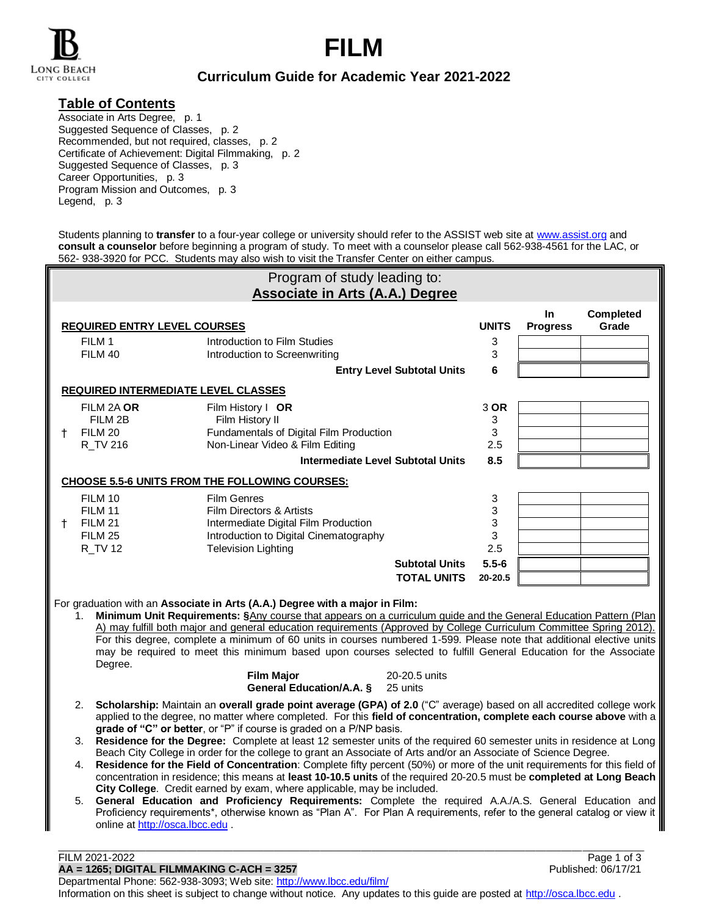



## **Curriculum Guide for Academic Year 2021-2022**

### **Table of Contents**

Associate in Arts Degree, p. 1 Suggested Sequence of Classes, p. 2 Recommended, but not required, classes, p. 2 Certificate of Achievement: Digital Filmmaking, p. 2 Suggested Sequence of Classes, p. 3 Career Opportunities, p. 3 Program Mission and Outcomes, p. 3 Legend, p. 3

Students planning to **transfer** to a four-year college or university should refer to the ASSIST web site at [www.assist.org](http://www.assist.org/) and **consult a counselor** before beginning a program of study. To meet with a counselor please call 562-938-4561 for the LAC, or 562- 938-3920 for PCC. Students may also wish to visit the Transfer Center on either campus.

| Program of study leading to:                                                                                                                                                                                                                                                                                                                                                                                                                                                                                                                                                                                                                                                                                                                                                                                                                                                                                                                                                                                                      |                                                                                                                                                             |                                                                      |                                             |                        |                           |  |  |
|-----------------------------------------------------------------------------------------------------------------------------------------------------------------------------------------------------------------------------------------------------------------------------------------------------------------------------------------------------------------------------------------------------------------------------------------------------------------------------------------------------------------------------------------------------------------------------------------------------------------------------------------------------------------------------------------------------------------------------------------------------------------------------------------------------------------------------------------------------------------------------------------------------------------------------------------------------------------------------------------------------------------------------------|-------------------------------------------------------------------------------------------------------------------------------------------------------------|----------------------------------------------------------------------|---------------------------------------------|------------------------|---------------------------|--|--|
|                                                                                                                                                                                                                                                                                                                                                                                                                                                                                                                                                                                                                                                                                                                                                                                                                                                                                                                                                                                                                                   |                                                                                                                                                             | <b>Associate in Arts (A.A.) Degree</b>                               |                                             |                        |                           |  |  |
|                                                                                                                                                                                                                                                                                                                                                                                                                                                                                                                                                                                                                                                                                                                                                                                                                                                                                                                                                                                                                                   | <b>REQUIRED ENTRY LEVEL COURSES</b>                                                                                                                         |                                                                      | <b>UNITS</b>                                | In.<br><b>Progress</b> | <b>Completed</b><br>Grade |  |  |
|                                                                                                                                                                                                                                                                                                                                                                                                                                                                                                                                                                                                                                                                                                                                                                                                                                                                                                                                                                                                                                   | FILM 1                                                                                                                                                      | Introduction to Film Studies                                         |                                             | 3                      |                           |  |  |
|                                                                                                                                                                                                                                                                                                                                                                                                                                                                                                                                                                                                                                                                                                                                                                                                                                                                                                                                                                                                                                   | FILM 40                                                                                                                                                     | Introduction to Screenwriting                                        |                                             | 3                      |                           |  |  |
|                                                                                                                                                                                                                                                                                                                                                                                                                                                                                                                                                                                                                                                                                                                                                                                                                                                                                                                                                                                                                                   |                                                                                                                                                             |                                                                      | <b>Entry Level Subtotal Units</b>           | 6                      |                           |  |  |
|                                                                                                                                                                                                                                                                                                                                                                                                                                                                                                                                                                                                                                                                                                                                                                                                                                                                                                                                                                                                                                   | <b>REQUIRED INTERMEDIATE LEVEL CLASSES</b>                                                                                                                  |                                                                      |                                             |                        |                           |  |  |
|                                                                                                                                                                                                                                                                                                                                                                                                                                                                                                                                                                                                                                                                                                                                                                                                                                                                                                                                                                                                                                   | FILM 2A OR                                                                                                                                                  | Film History I OR                                                    |                                             | 3 OR                   |                           |  |  |
|                                                                                                                                                                                                                                                                                                                                                                                                                                                                                                                                                                                                                                                                                                                                                                                                                                                                                                                                                                                                                                   | FILM 2B                                                                                                                                                     | Film History II                                                      |                                             | 3                      |                           |  |  |
| Ť.                                                                                                                                                                                                                                                                                                                                                                                                                                                                                                                                                                                                                                                                                                                                                                                                                                                                                                                                                                                                                                | FILM 20                                                                                                                                                     | Fundamentals of Digital Film Production                              |                                             | 3                      |                           |  |  |
|                                                                                                                                                                                                                                                                                                                                                                                                                                                                                                                                                                                                                                                                                                                                                                                                                                                                                                                                                                                                                                   | R_TV 216                                                                                                                                                    | Non-Linear Video & Film Editing                                      |                                             | 2.5                    |                           |  |  |
|                                                                                                                                                                                                                                                                                                                                                                                                                                                                                                                                                                                                                                                                                                                                                                                                                                                                                                                                                                                                                                   |                                                                                                                                                             | <b>Intermediate Level Subtotal Units</b>                             |                                             | 8.5                    |                           |  |  |
|                                                                                                                                                                                                                                                                                                                                                                                                                                                                                                                                                                                                                                                                                                                                                                                                                                                                                                                                                                                                                                   |                                                                                                                                                             | CHOOSE 5.5-6 UNITS FROM THE FOLLOWING COURSES:                       |                                             |                        |                           |  |  |
|                                                                                                                                                                                                                                                                                                                                                                                                                                                                                                                                                                                                                                                                                                                                                                                                                                                                                                                                                                                                                                   | FILM 10                                                                                                                                                     | <b>Film Genres</b>                                                   |                                             | 3                      |                           |  |  |
|                                                                                                                                                                                                                                                                                                                                                                                                                                                                                                                                                                                                                                                                                                                                                                                                                                                                                                                                                                                                                                   | FILM 11                                                                                                                                                     | Film Directors & Artists                                             |                                             | 3                      |                           |  |  |
| $^+$                                                                                                                                                                                                                                                                                                                                                                                                                                                                                                                                                                                                                                                                                                                                                                                                                                                                                                                                                                                                                              | FILM 21                                                                                                                                                     | Intermediate Digital Film Production                                 |                                             | 3                      |                           |  |  |
|                                                                                                                                                                                                                                                                                                                                                                                                                                                                                                                                                                                                                                                                                                                                                                                                                                                                                                                                                                                                                                   | <b>FILM 25</b><br><b>R_TV 12</b>                                                                                                                            | Introduction to Digital Cinematography<br><b>Television Lighting</b> |                                             | 3<br>2.5               |                           |  |  |
|                                                                                                                                                                                                                                                                                                                                                                                                                                                                                                                                                                                                                                                                                                                                                                                                                                                                                                                                                                                                                                   |                                                                                                                                                             |                                                                      |                                             |                        |                           |  |  |
|                                                                                                                                                                                                                                                                                                                                                                                                                                                                                                                                                                                                                                                                                                                                                                                                                                                                                                                                                                                                                                   |                                                                                                                                                             |                                                                      | <b>Subtotal Units</b><br><b>TOTAL UNITS</b> | $5.5 - 6$<br>20-20.5   |                           |  |  |
|                                                                                                                                                                                                                                                                                                                                                                                                                                                                                                                                                                                                                                                                                                                                                                                                                                                                                                                                                                                                                                   |                                                                                                                                                             |                                                                      |                                             |                        |                           |  |  |
| For graduation with an Associate in Arts (A.A.) Degree with a major in Film:<br>Minimum Unit Requirements: §Any course that appears on a curriculum guide and the General Education Pattern (Plan<br>1.<br>A) may fulfill both major and general education requirements (Approved by College Curriculum Committee Spring 2012).<br>For this degree, complete a minimum of 60 units in courses numbered 1-599. Please note that additional elective units<br>may be required to meet this minimum based upon courses selected to fulfill General Education for the Associate<br>Degree.                                                                                                                                                                                                                                                                                                                                                                                                                                            |                                                                                                                                                             |                                                                      |                                             |                        |                           |  |  |
|                                                                                                                                                                                                                                                                                                                                                                                                                                                                                                                                                                                                                                                                                                                                                                                                                                                                                                                                                                                                                                   |                                                                                                                                                             | <b>Film Major</b><br>General Education/A.A. §                        | 20-20.5 units<br>25 units                   |                        |                           |  |  |
| Scholarship: Maintain an overall grade point average (GPA) of 2.0 ("C" average) based on all accredited college work<br>2.<br>applied to the degree, no matter where completed. For this field of concentration, complete each course above with a<br>grade of "C" or better, or "P" if course is graded on a P/NP basis.<br>Residence for the Degree: Complete at least 12 semester units of the required 60 semester units in residence at Long<br>3.<br>Beach City College in order for the college to grant an Associate of Arts and/or an Associate of Science Degree.<br>Residence for the Field of Concentration: Complete fifty percent (50%) or more of the unit requirements for this field of<br>4.<br>concentration in residence; this means at least 10-10.5 units of the required 20-20.5 must be completed at Long Beach<br>City College. Credit earned by exam, where applicable, may be included.<br>General Education and Proficiency Requirements: Complete the required A.A./A.S. General Education and<br>5. |                                                                                                                                                             |                                                                      |                                             |                        |                           |  |  |
|                                                                                                                                                                                                                                                                                                                                                                                                                                                                                                                                                                                                                                                                                                                                                                                                                                                                                                                                                                                                                                   | Proficiency requirements*, otherwise known as "Plan A". For Plan A requirements, refer to the general catalog or view it<br>online at http://osca.lbcc.edu. |                                                                      |                                             |                        |                           |  |  |

Departmental Phone: 562-938-3093; Web site: [http://www.lbcc.edu/film/](http://tdf.lbcc.edu/)

Information on this sheet is subject to change without notice. Any updates to this guide are posted at [http://osca.lbcc.edu](http://osca.lbcc.edu/) .

\_\_\_\_\_\_\_\_\_\_\_\_\_\_\_\_\_\_\_\_\_\_\_\_\_\_\_\_\_\_\_\_\_\_\_\_\_\_\_\_\_\_\_\_\_\_\_\_\_\_\_\_\_\_\_\_\_\_\_\_\_\_\_\_\_\_\_\_\_\_\_\_\_\_\_\_\_\_\_\_\_\_\_\_\_\_\_\_\_\_\_\_\_\_\_\_\_\_\_\_\_\_\_\_\_\_\_\_\_\_\_\_\_\_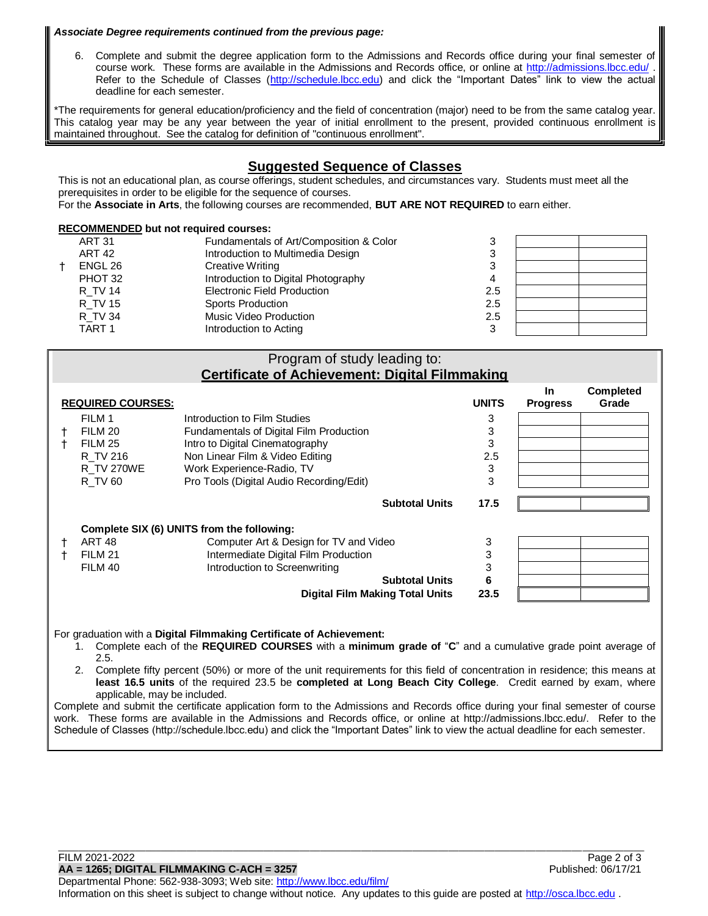#### *Associate Degree requirements continued from the previous page:*

6. Complete and submit the degree application form to the Admissions and Records office during your final semester of course work. These forms are available in the Admissions and Records office, or online at<http://admissions.lbcc.edu/> . Refer to the Schedule of Classes [\(http://schedule.lbcc.edu\)](http://schedule.lbcc.edu/) and click the "Important Dates" link to view the actual deadline for each semester.

\*The requirements for general education/proficiency and the field of concentration (major) need to be from the same catalog year. This catalog year may be any year between the year of initial enrollment to the present, provided continuous enrollment is maintained throughout. See the catalog for definition of "continuous enrollment".

### **Suggested Sequence of Classes**

This is not an educational plan, as course offerings, student schedules, and circumstances vary. Students must meet all the prerequisites in order to be eligible for the sequence of courses.

For the **Associate in Arts**, the following courses are recommended, **BUT ARE NOT REQUIRED** to earn either.

| <b>RECOMMENDED but not required courses:</b> |               |                                         |     |  |  |  |
|----------------------------------------------|---------------|-----------------------------------------|-----|--|--|--|
|                                              | <b>ART 31</b> | Fundamentals of Art/Composition & Color |     |  |  |  |
|                                              | <b>ART 42</b> | Introduction to Multimedia Design       |     |  |  |  |
|                                              | ENGL 26       | Creative Writing                        |     |  |  |  |
|                                              | PHOT 32       | Introduction to Digital Photography     |     |  |  |  |
|                                              | R TV 14       | <b>Electronic Field Production</b>      | 2.5 |  |  |  |
|                                              | R TV 15       | Sports Production                       | 2.5 |  |  |  |
|                                              | R TV 34       | Music Video Production                  | 2.5 |  |  |  |
|                                              | TART 1        | Introduction to Acting                  | ົ   |  |  |  |
|                                              |               |                                         |     |  |  |  |

#### Program of study leading to: **Certificate of Achievement: Digital Filmmaking**

| <b>REQUIRED COURSES:</b>                   |                   |                                          |                       |      | <b>In</b><br><b>Progress</b> | <b>Completed</b><br>Grade |
|--------------------------------------------|-------------------|------------------------------------------|-----------------------|------|------------------------------|---------------------------|
|                                            | FILM 1            | Introduction to Film Studies             |                       | 3    |                              |                           |
|                                            | FILM 20           | Fundamentals of Digital Film Production  |                       | 3    |                              |                           |
|                                            | FILM 25           | Intro to Digital Cinematography          |                       | 3    |                              |                           |
|                                            | R TV 216          | Non Linear Film & Video Editing          |                       | 2.5  |                              |                           |
|                                            | <b>R TV 270WE</b> | Work Experience-Radio, TV                |                       | 3    |                              |                           |
|                                            | R TV 60           | Pro Tools (Digital Audio Recording/Edit) |                       | 3    |                              |                           |
|                                            |                   |                                          | <b>Subtotal Units</b> | 17.5 |                              |                           |
| Complete SIX (6) UNITS from the following: |                   |                                          |                       |      |                              |                           |
|                                            | ART 48            | Computer Art & Design for TV and Video   |                       | 3    |                              |                           |
|                                            | FILM 21           | Intermediate Digital Film Production     |                       | 3    |                              |                           |
|                                            | FILM 40           | Introduction to Screenwriting            |                       | 3    |                              |                           |
|                                            |                   |                                          | <b>Subtotal Units</b> | 6    |                              |                           |
| <b>Digital Film Making Total Units</b>     |                   |                                          |                       | 23.5 |                              |                           |

For graduation with a **Digital Filmmaking Certificate of Achievement:**

- 1. Complete each of the **REQUIRED COURSES** with a **minimum grade of** "**C**" and a cumulative grade point average of 2.5.
- 2. Complete fifty percent (50%) or more of the unit requirements for this field of concentration in residence; this means at **least 16.5 units** of the required 23.5 be **completed at Long Beach City College**. Credit earned by exam, where applicable, may be included.

Complete and submit the certificate application form to the Admissions and Records office during your final semester of course work. These forms are available in the Admissions and Records office, or online at http://admissions.lbcc.edu/. Refer to the Schedule of Classes (http://schedule.lbcc.edu) and click the "Important Dates" link to view the actual deadline for each semester.

\_\_\_\_\_\_\_\_\_\_\_\_\_\_\_\_\_\_\_\_\_\_\_\_\_\_\_\_\_\_\_\_\_\_\_\_\_\_\_\_\_\_\_\_\_\_\_\_\_\_\_\_\_\_\_\_\_\_\_\_\_\_\_\_\_\_\_\_\_\_\_\_\_\_\_\_\_\_\_\_\_\_\_\_\_\_\_\_\_\_\_\_\_\_\_\_\_\_\_\_\_\_\_\_\_\_\_\_\_\_\_\_\_\_

Departmental Phone: 562-938-3093; Web site: [http://www.lbcc.edu/film/](http://tdf.lbcc.edu/) Information on this sheet is subject to change without notice. Any updates to this guide are posted at [http://osca.lbcc.edu](http://osca.lbcc.edu/) .